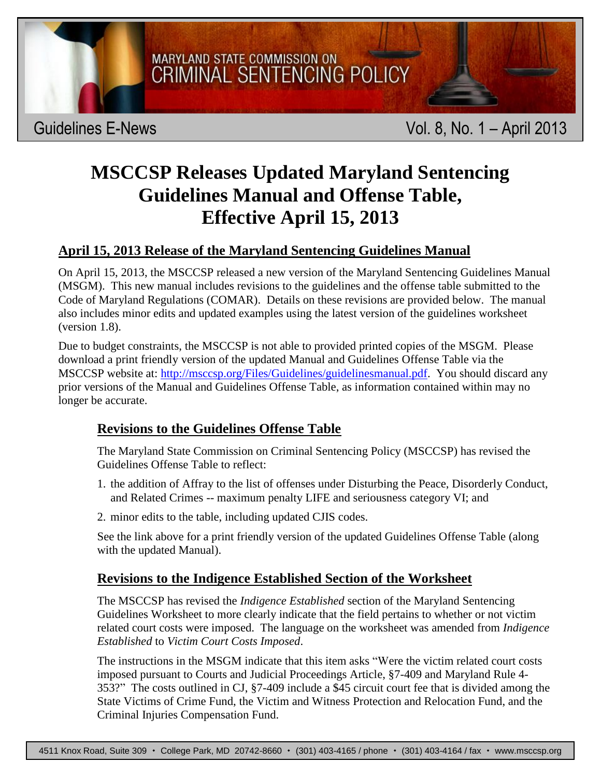

# **MSCCSP Releases Updated Maryland Sentencing Guidelines Manual and Offense Table, Effective April 15, 2013**

## **April 15, 2013 Release of the Maryland Sentencing Guidelines Manual**

On April 15, 2013, the MSCCSP released a new version of the Maryland Sentencing Guidelines Manual (MSGM). This new manual includes revisions to the guidelines and the offense table submitted to the Code of Maryland Regulations (COMAR). Details on these revisions are provided below. The manual also includes minor edits and updated examples using the latest version of the guidelines worksheet (version 1.8).

Due to budget constraints, the MSCCSP is not able to provided printed copies of the MSGM. Please download a print friendly version of the updated Manual and Guidelines Offense Table via the MSCCSP website at: [http://msccsp.org/Files/Guidelines/guidelinesmanual.pdf.](http://msccsp.org/Files/Guidelines/guidelinesmanual.pdf) You should discard any prior versions of the Manual and Guidelines Offense Table, as information contained within may no longer be accurate.

### **Revisions to the Guidelines Offense Table**

The Maryland State Commission on Criminal Sentencing Policy (MSCCSP) has revised the Guidelines Offense Table to reflect:

- 1. the addition of Affray to the list of offenses under Disturbing the Peace, Disorderly Conduct, and Related Crimes -- maximum penalty LIFE and seriousness category VI; and
- 2. minor edits to the table, including updated CJIS codes.

See the link above for a print friendly version of the updated Guidelines Offense Table (along with the updated Manual).

### **Revisions to the Indigence Established Section of the Worksheet**

The MSCCSP has revised the *Indigence Established* section of the Maryland Sentencing Guidelines Worksheet to more clearly indicate that the field pertains to whether or not victim related court costs were imposed. The language on the worksheet was amended from *Indigence Established* to *Victim Court Costs Imposed*.

The instructions in the MSGM indicate that this item asks "Were the victim related court costs imposed pursuant to Courts and Judicial Proceedings Article, §7-409 and Maryland Rule 4- 353?" The costs outlined in CJ, §7-409 include a \$45 circuit court fee that is divided among the State Victims of Crime Fund, the Victim and Witness Protection and Relocation Fund, and the Criminal Injuries Compensation Fund.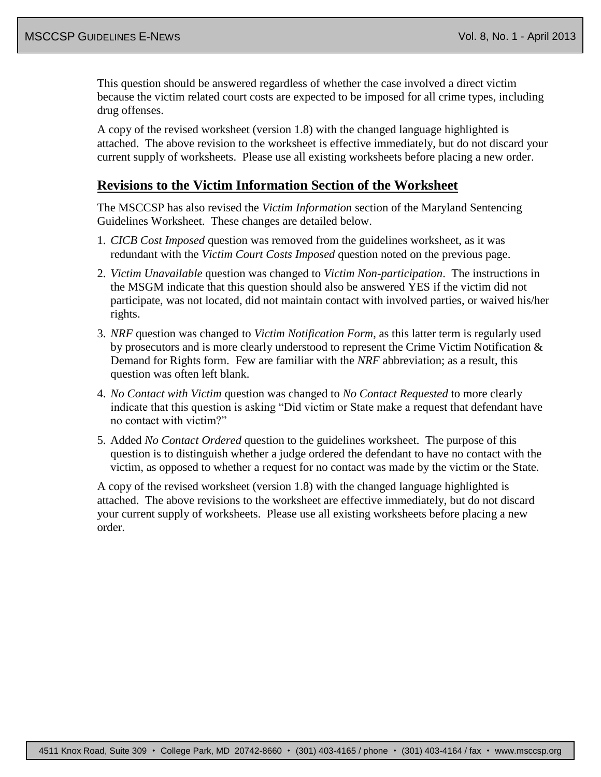This question should be answered regardless of whether the case involved a direct victim because the victim related court costs are expected to be imposed for all crime types, including drug offenses.

A copy of the revised worksheet (version 1.8) with the changed language highlighted is attached. The above revision to the worksheet is effective immediately, but do not discard your current supply of worksheets. Please use all existing worksheets before placing a new order.

#### **Revisions to the Victim Information Section of the Worksheet**

The MSCCSP has also revised the *Victim Information* section of the Maryland Sentencing Guidelines Worksheet. These changes are detailed below.

- 1. *CICB Cost Imposed* question was removed from the guidelines worksheet, as it was redundant with the *Victim Court Costs Imposed* question noted on the previous page.
- 2. *Victim Unavailable* question was changed to *Victim Non-participation*. The instructions in the MSGM indicate that this question should also be answered YES if the victim did not participate, was not located, did not maintain contact with involved parties, or waived his/her rights.
- 3. *NRF* question was changed to *Victim Notification Form*, as this latter term is regularly used by prosecutors and is more clearly understood to represent the Crime Victim Notification & Demand for Rights form. Few are familiar with the *NRF* abbreviation; as a result, this question was often left blank.
- 4. *No Contact with Victim* question was changed to *No Contact Requested* to more clearly indicate that this question is asking "Did victim or State make a request that defendant have no contact with victim?"
- 5. Added *No Contact Ordered* question to the guidelines worksheet. The purpose of this question is to distinguish whether a judge ordered the defendant to have no contact with the victim, as opposed to whether a request for no contact was made by the victim or the State.

A copy of the revised worksheet (version 1.8) with the changed language highlighted is attached. The above revisions to the worksheet are effective immediately, but do not discard your current supply of worksheets. Please use all existing worksheets before placing a new order.